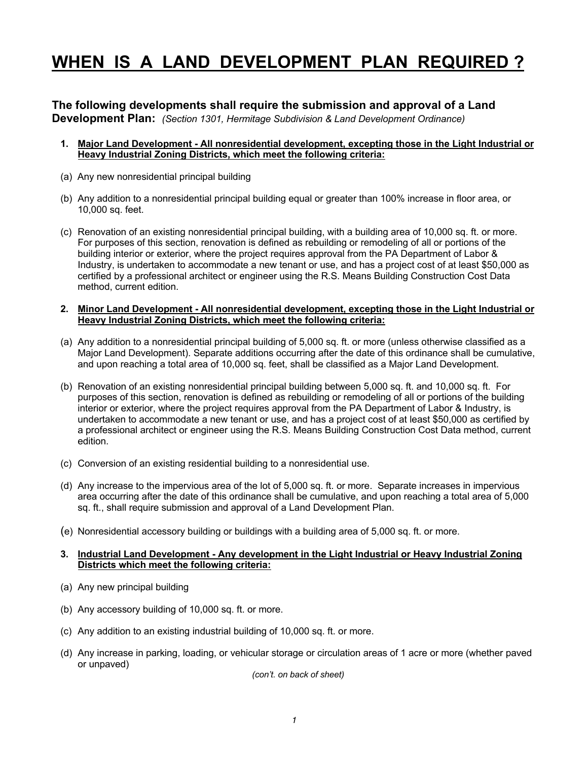# **WHEN IS A LAND DEVELOPMENT PLAN REQUIRED ?**

### **The following developments shall require the submission and approval of a Land**

**Development Plan:** *(Section 1301, Hermitage Subdivision & Land Development Ordinance)*

- **1. Major Land Development - All nonresidential development, excepting those in the Light Industrial or Heavy Industrial Zoning Districts, which meet the following criteria:**
- (a) Any new nonresidential principal building
- (b) Any addition to a nonresidential principal building equal or greater than 100% increase in floor area, or 10,000 sq. feet.
- (c) Renovation of an existing nonresidential principal building, with a building area of 10,000 sq. ft. or more. For purposes of this section, renovation is defined as rebuilding or remodeling of all or portions of the building interior or exterior, where the project requires approval from the PA Department of Labor & Industry, is undertaken to accommodate a new tenant or use, and has a project cost of at least \$50,000 as certified by a professional architect or engineer using the R.S. Means Building Construction Cost Data method, current edition.

#### **2. Minor Land Development - All nonresidential development, excepting those in the Light Industrial or Heavy Industrial Zoning Districts, which meet the following criteria:**

- (a) Any addition to a nonresidential principal building of 5,000 sq. ft. or more (unless otherwise classified as a Major Land Development). Separate additions occurring after the date of this ordinance shall be cumulative, and upon reaching a total area of 10,000 sq. feet, shall be classified as a Major Land Development.
- (b) Renovation of an existing nonresidential principal building between 5,000 sq. ft. and 10,000 sq. ft. For purposes of this section, renovation is defined as rebuilding or remodeling of all or portions of the building interior or exterior, where the project requires approval from the PA Department of Labor & Industry, is undertaken to accommodate a new tenant or use, and has a project cost of at least \$50,000 as certified by a professional architect or engineer using the R.S. Means Building Construction Cost Data method, current edition.
- (c) Conversion of an existing residential building to a nonresidential use.
- (d) Any increase to the impervious area of the lot of 5,000 sq. ft. or more. Separate increases in impervious area occurring after the date of this ordinance shall be cumulative, and upon reaching a total area of 5,000 sq. ft., shall require submission and approval of a Land Development Plan.
- (e) Nonresidential accessory building or buildings with a building area of 5,000 sq. ft. or more.

#### **3. Industrial Land Development - Any development in the Light Industrial or Heavy Industrial Zoning Districts which meet the following criteria:**

- (a) Any new principal building
- (b) Any accessory building of 10,000 sq. ft. or more.
- (c) Any addition to an existing industrial building of 10,000 sq. ft. or more.
- (d) Any increase in parking, loading, or vehicular storage or circulation areas of 1 acre or more (whether paved or unpaved)

*(con't. on back of sheet)*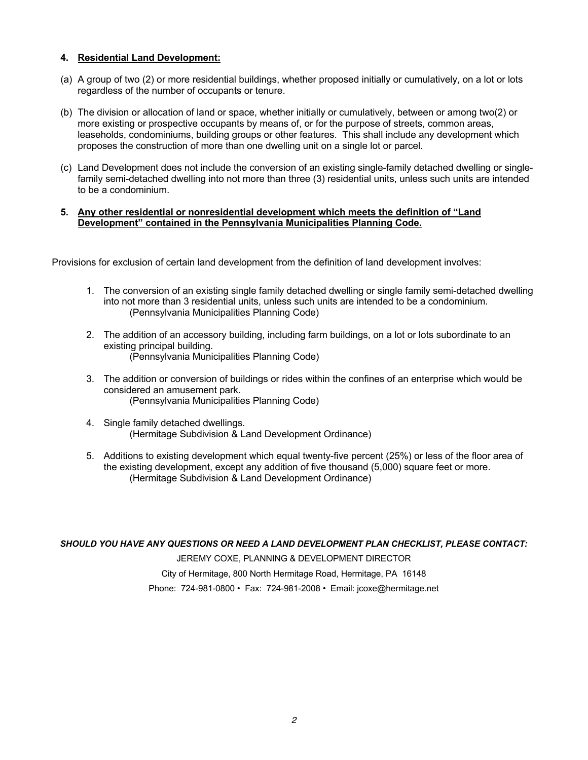#### **4. Residential Land Development:**

- (a) A group of two (2) or more residential buildings, whether proposed initially or cumulatively, on a lot or lots regardless of the number of occupants or tenure.
- (b) The division or allocation of land or space, whether initially or cumulatively, between or among two(2) or more existing or prospective occupants by means of, or for the purpose of streets, common areas, leaseholds, condominiums, building groups or other features. This shall include any development which proposes the construction of more than one dwelling unit on a single lot or parcel.
- (c) Land Development does not include the conversion of an existing single-family detached dwelling or singlefamily semi-detached dwelling into not more than three (3) residential units, unless such units are intended to be a condominium.

#### **5. Any other residential or nonresidential development which meets the definition of "Land Development" contained in the Pennsylvania Municipalities Planning Code.**

Provisions for exclusion of certain land development from the definition of land development involves:

- 1. The conversion of an existing single family detached dwelling or single family semi-detached dwelling into not more than 3 residential units, unless such units are intended to be a condominium. (Pennsylvania Municipalities Planning Code)
- 2. The addition of an accessory building, including farm buildings, on a lot or lots subordinate to an existing principal building. (Pennsylvania Municipalities Planning Code)
- 3. The addition or conversion of buildings or rides within the confines of an enterprise which would be considered an amusement park. (Pennsylvania Municipalities Planning Code)
- 4. Single family detached dwellings. (Hermitage Subdivision & Land Development Ordinance)
- 5. Additions to existing development which equal twenty-five percent (25%) or less of the floor area of the existing development, except any addition of five thousand (5,000) square feet or more. (Hermitage Subdivision & Land Development Ordinance)

*SHOULD YOU HAVE ANY QUESTIONS OR NEED A LAND DEVELOPMENT PLAN CHECKLIST, PLEASE CONTACT:*

JEREMY COXE, PLANNING & DEVELOPMENT DIRECTOR City of Hermitage, 800 North Hermitage Road, Hermitage, PA 16148 Phone: 724-981-0800 • Fax: 724-981-2008 • Email: jcoxe@hermitage.net